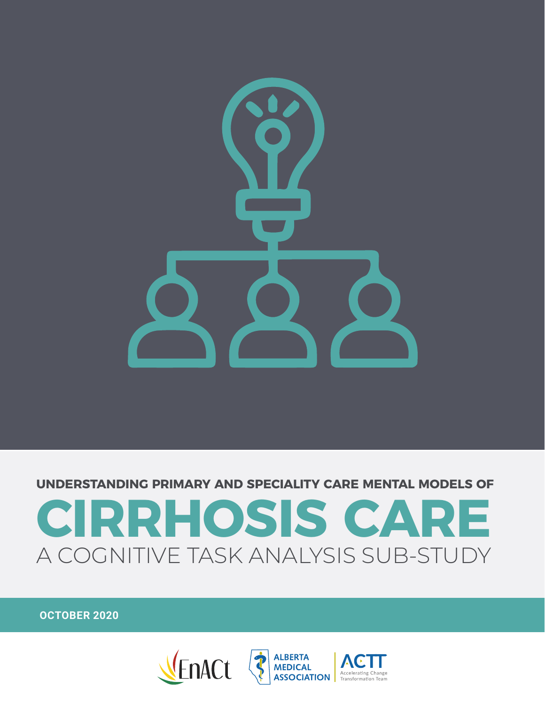

**UNDERSTANDING PRIMARY AND SPECIALITY CARE MENTAL MODELS OF**

## **CIRRHOSIS CARE** A COGNITIVE TASK ANALYSIS SUB-STUDY

**OCTOBER 2020**

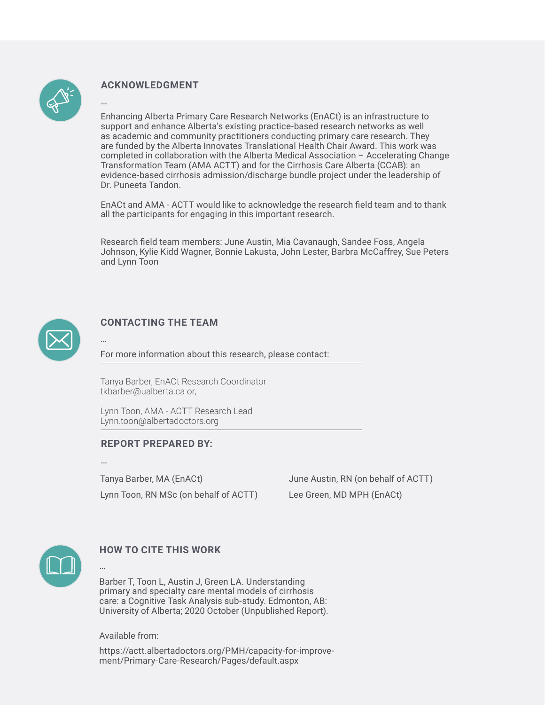

…

#### **ACKNOWLEDGMENT**

Enhancing Alberta Primary Care Research Networks (EnACt) is an infrastructure to support and enhance Alberta's existing practice-based research networks as well as academic and community practitioners conducting primary care research. They are funded by the Alberta Innovates Translational Health Chair Award. This work was completed in collaboration with the Alberta Medical Association – Accelerating Change Transformation Team (AMA ACTT) and for the Cirrhosis Care Alberta (CCAB): an evidence-based cirrhosis admission/discharge bundle project under the leadership of Dr. Puneeta Tandon.

EnACt and AMA - ACTT would like to acknowledge the research field team and to thank all the participants for engaging in this important research.

Research field team members: June Austin, Mia Cavanaugh, Sandee Foss, Angela Johnson, Kylie Kidd Wagner, Bonnie Lakusta, John Lester, Barbra McCaffrey, Sue Peters and Lynn Toon



#### **CONTACTING THE TEAM**

For more information about this research, please contact:

Tanya Barber, EnACt Research Coordinator tkbarber@ualberta.ca or,

Lynn Toon, AMA - ACTT Research Lead Lynn.toon@albertadoctors.org

#### **REPORT PREPARED BY:**

…

…

…

Tanya Barber, MA (EnACt) Lynn Toon, RN MSc (on behalf of ACTT) June Austin, RN (on behalf of ACTT) Lee Green, MD MPH (EnACt)



#### **HOW TO CITE THIS WORK**

Barber T, Toon L, Austin J, Green LA. Understanding primary and specialty care mental models of cirrhosis care: a Cognitive Task Analysis sub-study. Edmonton, AB: University of Alberta; 2020 October (Unpublished Report).

Available from:

https://actt.albertadoctors.org/PMH/capacity-for-improvement/Primary-Care-Research/Pages/default.aspx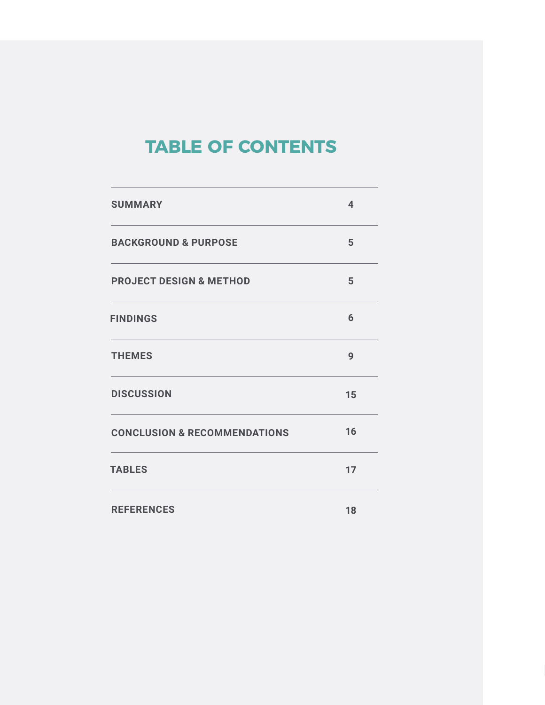## **TABLE OF CONTENTS**

| <b>SUMMARY</b>                          | $\overline{\mathbf{4}}$ |
|-----------------------------------------|-------------------------|
| <b>BACKGROUND &amp; PURPOSE</b>         | 5                       |
| <b>PROJECT DESIGN &amp; METHOD</b>      | 5                       |
| <b>FINDINGS</b>                         | 6                       |
| <b>THEMES</b>                           | 9                       |
| <b>DISCUSSION</b>                       | 15                      |
| <b>CONCLUSION &amp; RECOMMENDATIONS</b> | 16                      |
| <b>TABLES</b>                           | 17                      |
| <b>REFERENCES</b>                       | 18                      |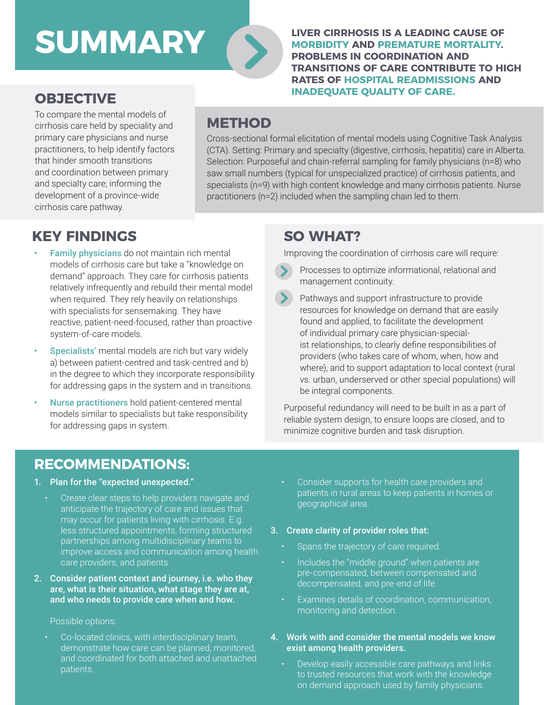## **SUMMARY**

**LIVER CIRRHOSIS IS A LEADING CAUSE OF MORBIDITY AND PREMATURE MORTALITY. PROBLEMS IN COORDINATION AND TRANSITIONS OF CARE CONTRIBUTE TO HIGH RATES OF HOSPITAL READMISSIONS AND INADEQUATE QUALITY OF CARE.** 

## **OBJECTIVE**

To compare the mental models of cirrhosis care held by speciality and primary care physicians and nurse practitioners, to help identify factors that hinder smooth transitions and coordination between primary and specialty care; informing the development of a province-wide cirrhosis care pathway.

### **METHOD**

Cross-sectional formal elicitation of mental models using Cognitive Task Analysis (CTA). Setting: Primary and specialty (digestive, cirrhosis, hepatitis) care in Alberta. Selection: Purposeful and chain-referral sampling for family physicians (n=8) who saw small numbers (typical for unspecialized practice) of cirrhosis patients, and specialists (n=9) with high content knowledge and many cirrhosis patients. Nurse practitioners (n=2) included when the sampling chain led to them.

### **KEY FINDINGS**

- Family physicians do not maintain rich mental models of cirrhosis care but take a "knowledge on demand" approach. They care for cirrhosis patients relatively infrequently and rebuild their mental model when required. They rely heavily on relationships with specialists for sensemaking. They have reactive, patient-need-focused, rather than proactive system-of-care models.
- Specialists' mental models are rich but vary widely a) between patient-centred and task-centred and b) in the degree to which they incorporate responsibility for addressing gaps in the system and in transitions.
- Nurse practitioners hold patient-centered mental models similar to specialists but take responsibility for addressing gaps in system.

### **SO WHAT?**

Improving the coordination of cirrhosis care will require:

- Processes to optimize informational, relational and management continuity.
- Pathways and support infrastructure to provide resources for knowledge on demand that are easily found and applied, to facilitate the development of individual primary care physician-specialist relationships, to clearly define responsibilities of providers (who takes care of whom, when, how and where), and to support adaptation to local context (rural vs. urban, underserved or other special populations) will be integral components.

Purposeful redundancy will need to be built in as a part of reliable system design, to ensure loops are closed, and to minimize cognitive burden and task disruption.

### **RECOMMENDATIONS:**

#### 1. Plan for the "expected unexpected."

- Create clear steps to help providers navigate and anticipate the trajectory of care and issues that may occur for patients living with cirrhosis. E.g. less structured appointments, forming structured partnerships among multidisciplinary teams to improve access and communication among health care providers, and patients.
- 2. Consider patient context and journey, i.e. who they are, what is their situation, what stage they are at, and who needs to provide care when and how.

#### Possible options:

patients. Co-located clinics, with interdisciplinary team, demonstrate how care can be planned, monitored, and coordinated for both attached and unattached Consider supports for health care providers and patients in rural areas to keep patients in homes or geographical area.

#### 3. Create clarity of provider roles that:

- Spans the trajectory of care required.
- Includes the "middle ground" when patients are pre-compensated, between compensated and decompensated, and pre-end of life.
- Examines details of coordination, communication, monitoring and detection.
- 4. Work with and consider the mental models we know exist among health providers.
	- Develop easily accessible care pathways and links to trusted resources that work with the knowledge on demand approach used by family physicians.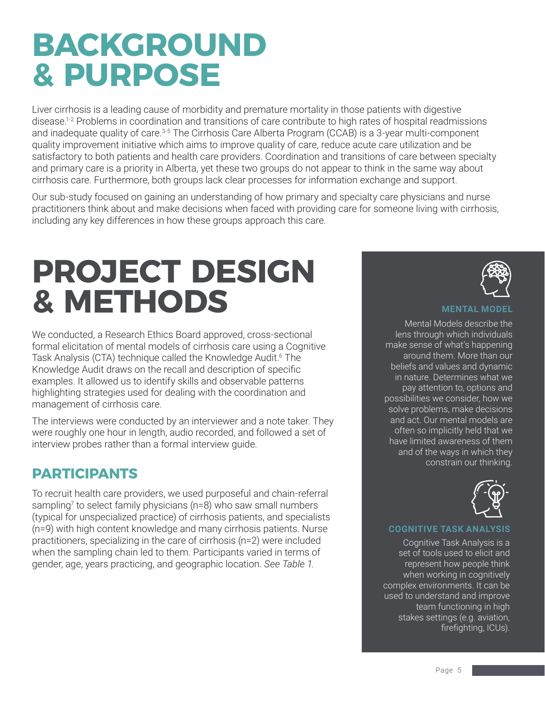## **BACKGROUND & PURPOSE**

Liver cirrhosis is a leading cause of morbidity and premature mortality in those patients with digestive disease.1-2 Problems in coordination and transitions of care contribute to high rates of hospital readmissions and inadequate quality of care.<sup>3-5</sup> The Cirrhosis Care Alberta Program (CCAB) is a 3-year multi-component quality improvement initiative which aims to improve quality of care, reduce acute care utilization and be satisfactory to both patients and health care providers. Coordination and transitions of care between specialty and primary care is a priority in Alberta, yet these two groups do not appear to think in the same way about cirrhosis care. Furthermore, both groups lack clear processes for information exchange and support.

Our sub-study focused on gaining an understanding of how primary and specialty care physicians and nurse practitioners think about and make decisions when faced with providing care for someone living with cirrhosis, including any key differences in how these groups approach this care.

## **PROJECT DESIGN & METHODS**

We conducted, a Research Ethics Board approved, cross-sectional formal elicitation of mental models of cirrhosis care using a Cognitive Task Analysis (CTA) technique called the Knowledge Audit.<sup>6</sup> The Knowledge Audit draws on the recall and description of specific examples. It allowed us to identify skills and observable patterns highlighting strategies used for dealing with the coordination and management of cirrhosis care.

The interviews were conducted by an interviewer and a note taker. They were roughly one hour in length, audio recorded, and followed a set of interview probes rather than a formal interview guide.

### **PARTICIPANTS**

To recruit health care providers, we used purposeful and chain-referral sampling<sup>7</sup> to select family physicians (n=8) who saw small numbers (typical for unspecialized practice) of cirrhosis patients, and specialists (n=9) with high content knowledge and many cirrhosis patients. Nurse practitioners, specializing in the care of cirrhosis (n=2) were included when the sampling chain led to them. Participants varied in terms of gender, age, years practicing, and geographic location. *See Table 1.*



#### **MENTAL MODE**

Mental Models describe the lens through which individuals make sense of what's happening around them. More than our beliefs and values and dynamic in nature. Determines what we pay attention to, options and possibilities we consider, how we solve problems, make decisions and act. Our mental models are often so implicitly held that we have limited awareness of them and of the ways in which they constrain our thinking.



#### **COGNITIVE TASK ANALYSIS**

Cognitive Task Analysis is a set of tools used to elicit and represent how people think when working in cognitively complex environments. It can be used to understand and improve team functioning in high stakes settings (e.g. aviation, firefighting, ICUs).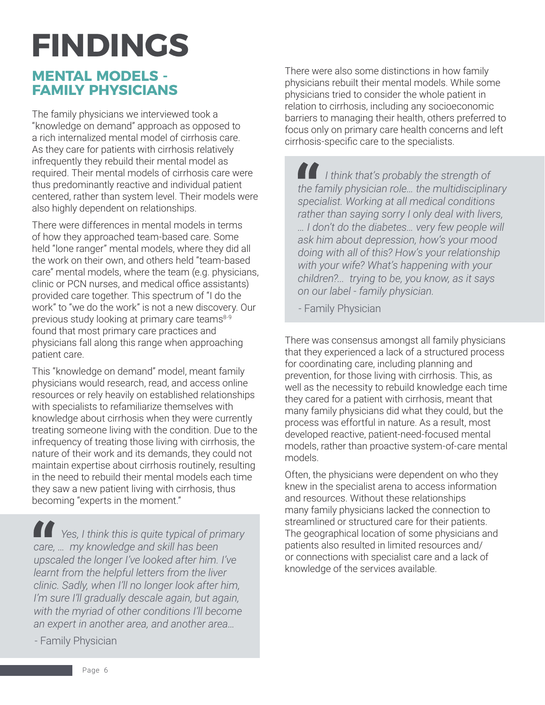# **FINDINGS**

### **MENTAL MODELS - FAMILY PHYSICIANS**

The family physicians we interviewed took a "knowledge on demand" approach as opposed to a rich internalized mental model of cirrhosis care. As they care for patients with cirrhosis relatively infrequently they rebuild their mental model as required. Their mental models of cirrhosis care were thus predominantly reactive and individual patient centered, rather than system level. Their models were also highly dependent on relationships.

There were differences in mental models in terms of how they approached team-based care. Some held "lone ranger" mental models, where they did all the work on their own, and others held "team-based care" mental models, where the team (e.g. physicians, clinic or PCN nurses, and medical office assistants) provided care together. This spectrum of "I do the work" to "we do the work" is not a new discovery. Our previous study looking at primary care teams<sup>8-9</sup> found that most primary care practices and physicians fall along this range when approaching patient care.

This "knowledge on demand" model, meant family physicians would research, read, and access online resources or rely heavily on established relationships with specialists to refamiliarize themselves with knowledge about cirrhosis when they were currently treating someone living with the condition. Due to the infrequency of treating those living with cirrhosis, the nature of their work and its demands, they could not maintain expertise about cirrhosis routinely, resulting in the need to rebuild their mental models each time they saw a new patient living with cirrhosis, thus becoming "experts in the moment."

*Yes, I think this is quite typical of primary care, … my knowledge and skill has been upscaled the longer I've looked after him. I've learnt from the helpful letters from the liver clinic. Sadly, when I'll no longer look after him, I'm sure I'll gradually descale again, but again, with the myriad of other conditions I'll become an expert in another area, and another area…*

- Family Physician

There were also some distinctions in how family physicians rebuilt their mental models. While some physicians tried to consider the whole patient in relation to cirrhosis, including any socioeconomic barriers to managing their health, others preferred to focus only on primary care health concerns and left cirrhosis-specific care to the specialists.

*I think that's probably the strength of the family physician role… the multidisciplinary specialist. Working at all medical conditions rather than saying sorry I only deal with livers, … I don't do the diabetes… very few people will ask him about depression, how's your mood doing with all of this? How's your relationship with your wife? What's happening with your children?... trying to be, you know, as it says on our label - family physician.*

- Family Physician

There was consensus amongst all family physicians that they experienced a lack of a structured process for coordinating care, including planning and prevention, for those living with cirrhosis. This, as well as the necessity to rebuild knowledge each time they cared for a patient with cirrhosis, meant that many family physicians did what they could, but the process was effortful in nature. As a result, most developed reactive, patient-need-focused mental models, rather than proactive system-of-care mental models.

Often, the physicians were dependent on who they knew in the specialist arena to access information and resources. Without these relationships many family physicians lacked the connection to streamlined or structured care for their patients. The geographical location of some physicians and patients also resulted in limited resources and/ or connections with specialist care and a lack of knowledge of the services available.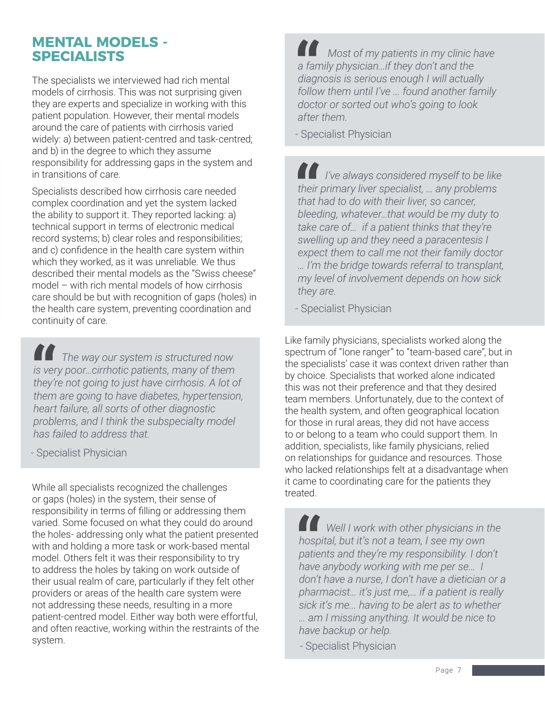### **MENTAL MODELS - SPECIALISTS**

The specialists we interviewed had rich mental models of cirrhosis. This was not surprising given they are experts and specialize in working with this patient population. However, their mental models around the care of patients with cirrhosis varied widely: a) between patient-centred and task-centred; and b) in the degree to which they assume responsibility for addressing gaps in the system and in transitions of care.

Specialists described how cirrhosis care needed complex coordination and yet the system lacked the ability to support it. They reported lacking: a) technical support in terms of electronic medical record systems; b) clear roles and responsibilities; and c) confidence in the health care system within which they worked, as it was unreliable. We thus described their mental models as the "Swiss cheese" model – with rich mental models of how cirrhosis care should be but with recognition of gaps (holes) in the health care system, preventing coordination and continuity of care.

*The way our system is structured now is very poor…cirrhotic patients, many of them they're not going to just have cirrhosis. A lot of them are going to have diabetes, hypertension, heart failure, all sorts of other diagnostic problems, and I think the subspecialty model has failed to address that.*

- Specialist Physician

While all specialists recognized the challenges or gaps (holes) in the system, their sense of responsibility in terms of filling or addressing them varied. Some focused on what they could do around the holes- addressing only what the patient presented with and holding a more task or work-based mental model. Others felt it was their responsibility to try to address the holes by taking on work outside of their usual realm of care, particularly if they felt other providers or areas of the health care system were not addressing these needs, resulting in a more patient-centred model. Either way both were effortful, and often reactive, working within the restraints of the system.

 *Most of my patients in my clinic have a family physician…if they don't and the diagnosis is serious enough I will actually follow them until I've ... found another family doctor or sorted out who's going to look after them.*

- Specialist Physician

*I've always considered myself to be like their primary liver specialist, … any problems that had to do with their liver, so cancer, bleeding, whatever…that would be my duty to take care of… if a patient thinks that they're swelling up and they need a paracentesis I expect them to call me not their family doctor … I'm the bridge towards referral to transplant, my level of involvement depends on how sick they are.*

- Specialist Physician

Like family physicians, specialists worked along the spectrum of "lone ranger" to "team-based care", but in the specialists' case it was context driven rather than by choice. Specialists that worked alone indicated this was not their preference and that they desired team members. Unfortunately, due to the context of the health system, and often geographical location for those in rural areas, they did not have access to or belong to a team who could support them. In addition, specialists, like family physicians, relied on relationships for guidance and resources. Those who lacked relationships felt at a disadvantage when it came to coordinating care for the patients they treated.

*Well I work with other physicians in the hospital, but it's not a team, I see my own patients and they're my responsibility. I don't have anybody working with me per se… I don't have a nurse, I don't have a dietician or a pharmacist… it's just me,… if a patient is really sick it's me... having to be alert as to whether … am I missing anything. It would be nice to have backup or help.*

**MENTAL MODELS -**  - Specialist Physician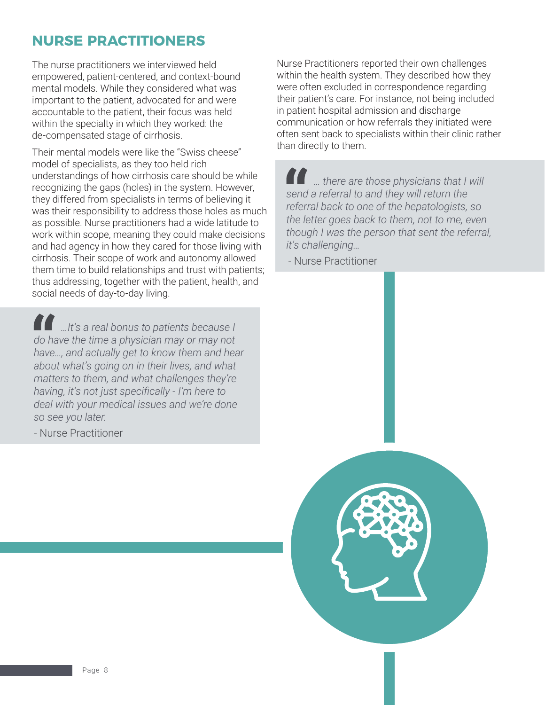### **NURSE PRACTITIONERS**

The nurse practitioners we interviewed held empowered, patient-centered, and context-bound mental models. While they considered what was important to the patient, advocated for and were accountable to the patient, their focus was held within the specialty in which they worked: the de-compensated stage of cirrhosis.

Their mental models were like the "Swiss cheese" model of specialists, as they too held rich understandings of how cirrhosis care should be while recognizing the gaps (holes) in the system. However, they differed from specialists in terms of believing it was their responsibility to address those holes as much as possible. Nurse practitioners had a wide latitude to work within scope, meaning they could make decisions and had agency in how they cared for those living with cirrhosis. Their scope of work and autonomy allowed them time to build relationships and trust with patients; thus addressing, together with the patient, health, and social needs of day-to-day living.

*…It's a real bonus to patients because I do have the time a physician may or may not have…, and actually get to know them and hear about what's going on in their lives, and what matters to them, and what challenges they're having, it's not just specifically - I'm here to deal with your medical issues and we're done so see you later.*

- Nurse Practitioner

Nurse Practitioners reported their own challenges within the health system. They described how they were often excluded in correspondence regarding their patient's care. For instance, not being included in patient hospital admission and discharge communication or how referrals they initiated were often sent back to specialists within their clinic rather than directly to them.

*… there are those physicians that I will send a referral to and they will return the referral back to one of the hepatologists, so the letter goes back to them, not to me, even though I was the person that sent the referral, it's challenging…*

- Nurse Practitioner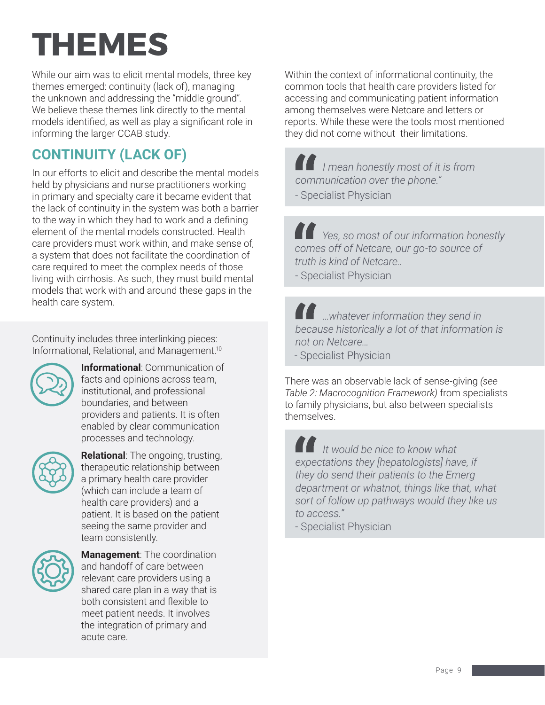## **THEMES**

While our aim was to elicit mental models, three key themes emerged: continuity (lack of), managing the unknown and addressing the "middle ground". We believe these themes link directly to the mental models identified, as well as play a significant role in informing the larger CCAB study.

## **CONTINUITY (LACK OF)**

In our efforts to elicit and describe the mental models held by physicians and nurse practitioners working in primary and specialty care it became evident that the lack of continuity in the system was both a barrier to the way in which they had to work and a defining element of the mental models constructed. Health care providers must work within, and make sense of, a system that does not facilitate the coordination of care required to meet the complex needs of those living with cirrhosis. As such, they must build mental models that work with and around these gaps in the health care system.

Continuity includes three interlinking pieces: Informational, Relational, and Management.10



**Informational**: Communication of facts and opinions across team, institutional, and professional boundaries, and between providers and patients. It is often enabled by clear communication processes and technology.



**Relational**: The ongoing, trusting, therapeutic relationship between a primary health care provider (which can include a team of health care providers) and a patient. It is based on the patient seeing the same provider and team consistently.



**Management**: The coordination and handoff of care between relevant care providers using a shared care plan in a way that is both consistent and flexible to meet patient needs. It involves the integration of primary and acute care.

Within the context of informational continuity, the common tools that health care providers listed for accessing and communicating patient information among themselves were Netcare and letters or reports. While these were the tools most mentioned they did not come without their limitations.

*I mean honestly most of it is from communication over the phone."*

- Specialist Physician

*Yes, so most of our information honestly comes off of Netcare, our go-to source of truth is kind of Netcare..*

- Specialist Physician

*…whatever information they send in because historically a lot of that information is not on Netcare…* - Specialist Physician

There was an observable lack of sense-giving *(see Table 2: Macrocognition Framework)* from specialists to family physicians, but also between specialists themselves.

*It would be nice to know what expectations they [hepatologists] have, if they do send their patients to the Emerg department or whatnot, things like that, what sort of follow up pathways would they like us to access."*

- Specialist Physician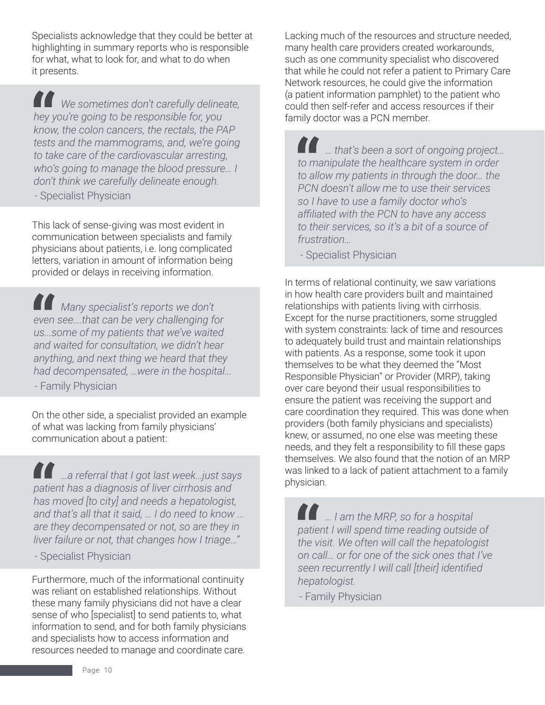Specialists acknowledge that they could be better at highlighting in summary reports who is responsible for what, what to look for, and what to do when it presents.

*We sometimes don't carefully delineate, hey you're going to be responsible for, you know, the colon cancers, the rectals, the PAP tests and the mammograms, and, we're going to take care of the cardiovascular arresting, who's going to manage the blood pressure… I don't think we carefully delineate enough.*

- Specialist Physician

This lack of sense-giving was most evident in communication between specialists and family physicians about patients, i.e. long complicated letters, variation in amount of information being provided or delays in receiving information.

*Many specialist's reports we don't even see….that can be very challenging for us...some of my patients that we've waited and waited for consultation, we didn't hear anything, and next thing we heard that they had decompensated, …were in the hospital...*

- Family Physician

On the other side, a specialist provided an example of what was lacking from family physicians' communication about a patient:

*…a referral that I got last week…just says patient has a diagnosis of liver cirrhosis and has moved [to city] and needs a hepatologist, and that's all that it said, … I do need to know ... are they decompensated or not, so are they in liver failure or not, that changes how I triage…"*

- Specialist Physician

Furthermore, much of the informational continuity was reliant on established relationships. Without these many family physicians did not have a clear sense of who [specialist] to send patients to, what information to send, and for both family physicians and specialists how to access information and resources needed to manage and coordinate care.

Lacking much of the resources and structure needed, many health care providers created workarounds, such as one community specialist who discovered that while he could not refer a patient to Primary Care Network resources, he could give the information (a patient information pamphlet) to the patient who could then self-refer and access resources if their family doctor was a PCN member.

*… that's been a sort of ongoing project… to manipulate the healthcare system in order to allow my patients in through the door… the PCN doesn't allow me to use their services so I have to use a family doctor who's affiliated with the PCN to have any access to their services, so it's a bit of a source of frustration…*

- Specialist Physician

In terms of relational continuity, we saw variations in how health care providers built and maintained relationships with patients living with cirrhosis. Except for the nurse practitioners, some struggled with system constraints: lack of time and resources to adequately build trust and maintain relationships with patients. As a response, some took it upon themselves to be what they deemed the "Most Responsible Physician" or Provider (MRP), taking over care beyond their usual responsibilities to ensure the patient was receiving the support and care coordination they required. This was done when providers (both family physicians and specialists) knew, or assumed, no one else was meeting these needs, and they felt a responsibility to fill these gaps themselves. We also found that the notion of an MRP was linked to a lack of patient attachment to a family physician.

*… I am the MRP, so for a hospital patient I will spend time reading outside of the visit. We often will call the hepatologist on call… or for one of the sick ones that I've seen recurrently I will call [their] identified hepatologist.*

- Family Physician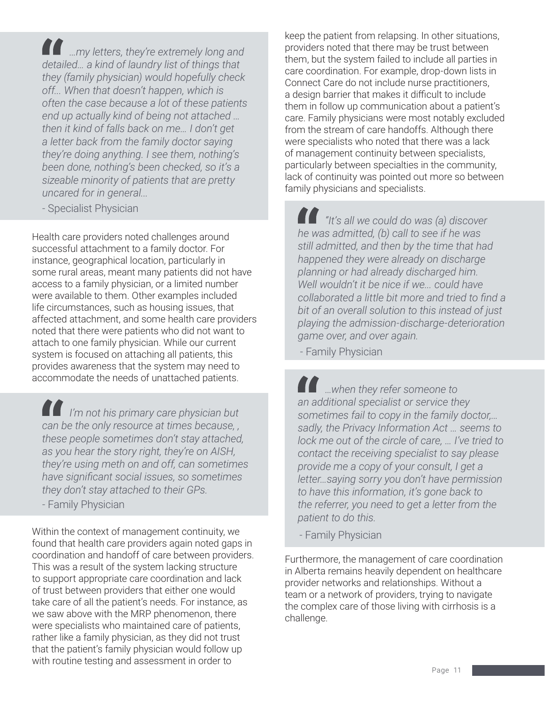*…my letters, they're extremely long and detailed… a kind of laundry list of things that they (family physician) would hopefully check off... When that doesn't happen, which is often the case because a lot of these patients end up actually kind of being not attached … then it kind of falls back on me… I don't get a letter back from the family doctor saying they're doing anything. I see them, nothing's been done, nothing's been checked, so it's a sizeable minority of patients that are pretty uncared for in general...*

- Specialist Physician

Health care providers noted challenges around successful attachment to a family doctor. For instance, geographical location, particularly in some rural areas, meant many patients did not have access to a family physician, or a limited number were available to them. Other examples included life circumstances, such as housing issues, that affected attachment, and some health care providers noted that there were patients who did not want to attach to one family physician. While our current system is focused on attaching all patients, this provides awareness that the system may need to accommodate the needs of unattached patients.

*I'm not his primary care physician but can be the only resource at times because, , these people sometimes don't stay attached, as you hear the story right, they're on AISH, they're using meth on and off, can sometimes have significant social issues, so sometimes they don't stay attached to their GPs.*

- Family Physician

Within the context of management continuity, we found that health care providers again noted gaps in coordination and handoff of care between providers. This was a result of the system lacking structure to support appropriate care coordination and lack of trust between providers that either one would take care of all the patient's needs. For instance, as we saw above with the MRP phenomenon, there were specialists who maintained care of patients, rather like a family physician, as they did not trust that the patient's family physician would follow up with routine testing and assessment in order to

keep the patient from relapsing. In other situations, providers noted that there may be trust between them, but the system failed to include all parties in care coordination. For example, drop-down lists in Connect Care do not include nurse practitioners, a design barrier that makes it difficult to include them in follow up communication about a patient's care. Family physicians were most notably excluded from the stream of care handoffs. Although there were specialists who noted that there was a lack of management continuity between specialists, particularly between specialties in the community, lack of continuity was pointed out more so between family physicians and specialists.

*"It's all we could do was (a) discover he was admitted, (b) call to see if he was still admitted, and then by the time that had happened they were already on discharge planning or had already discharged him. Well wouldn't it be nice if we... could have collaborated a little bit more and tried to find a bit of an overall solution to this instead of just playing the admission-discharge-deterioration game over, and over again.*

- Family Physician

*…when they refer someone to an additional specialist or service they sometimes fail to copy in the family doctor,… sadly, the Privacy Information Act … seems to lock me out of the circle of care, … I've tried to contact the receiving specialist to say please provide me a copy of your consult, I get a letter…saying sorry you don't have permission to have this information, it's gone back to the referrer, you need to get a letter from the patient to do this.*

- Family Physician

Furthermore, the management of care coordination in Alberta remains heavily dependent on healthcare provider networks and relationships. Without a team or a network of providers, trying to navigate the complex care of those living with cirrhosis is a challenge.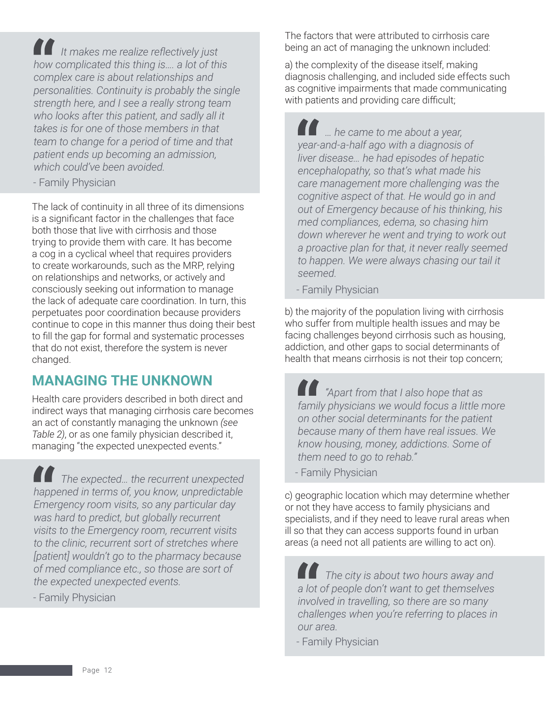*It makes me realize reflectively just how complicated this thing is…. a lot of this complex care is about relationships and personalities. Continuity is probably the single strength here, and I see a really strong team who looks after this patient, and sadly all it takes is for one of those members in that team to change for a period of time and that patient ends up becoming an admission, which could've been avoided.* 

- Family Physician

The lack of continuity in all three of its dimensions is a significant factor in the challenges that face both those that live with cirrhosis and those trying to provide them with care. It has become a cog in a cyclical wheel that requires providers to create workarounds, such as the MRP, relying on relationships and networks, or actively and consciously seeking out information to manage the lack of adequate care coordination. In turn, this perpetuates poor coordination because providers continue to cope in this manner thus doing their best to fill the gap for formal and systematic processes that do not exist, therefore the system is never changed.

### **MANAGING THE UNKNOWN**

Health care providers described in both direct and indirect ways that managing cirrhosis care becomes an act of constantly managing the unknown *(see Table 2)*, or as one family physician described it, managing "the expected unexpected events."

*The expected… the recurrent unexpected happened in terms of, you know, unpredictable Emergency room visits, so any particular day was hard to predict, but globally recurrent visits to the Emergency room, recurrent visits to the clinic, recurrent sort of stretches where [patient] wouldn't go to the pharmacy because of med compliance etc., so those are sort of the expected unexpected events.*

- Family Physician

The factors that were attributed to cirrhosis care being an act of managing the unknown included:

a) the complexity of the disease itself, making diagnosis challenging, and included side effects such as cognitive impairments that made communicating with patients and providing care difficult;

*… he came to me about a year, year-and-a-half ago with a diagnosis of liver disease… he had episodes of hepatic encephalopathy, so that's what made his care management more challenging was the cognitive aspect of that. He would go in and out of Emergency because of his thinking, his med compliances, edema, so chasing him down wherever he went and trying to work out a proactive plan for that, it never really seemed to happen. We were always chasing our tail it seemed.*

- Family Physician

b) the majority of the population living with cirrhosis who suffer from multiple health issues and may be facing challenges beyond cirrhosis such as housing, addiction, and other gaps to social determinants of health that means cirrhosis is not their top concern;

*"Apart from that I also hope that as family physicians we would focus a little more on other social determinants for the patient because many of them have real issues. We know housing, money, addictions. Some of them need to go to rehab."*

- Family Physician

c) geographic location which may determine whether or not they have access to family physicians and specialists, and if they need to leave rural areas when ill so that they can access supports found in urban areas (a need not all patients are willing to act on).

*The city is about two hours away and a lot of people don't want to get themselves involved in travelling, so there are so many challenges when you're referring to places in our area.*

- Family Physician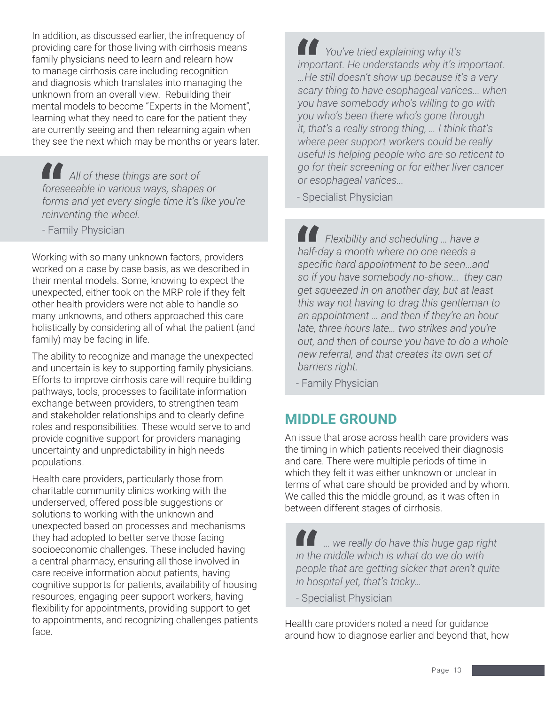In addition, as discussed earlier, the infrequency of providing care for those living with cirrhosis means family physicians need to learn and relearn how to manage cirrhosis care including recognition and diagnosis which translates into managing the unknown from an overall view. Rebuilding their mental models to become "Experts in the Moment", learning what they need to care for the patient they are currently seeing and then relearning again when they see the next which may be months or years later.

*All of these things are sort of foreseeable in various ways, shapes or forms and yet every single time it's like you're reinventing the wheel.*

- Family Physician

Working with so many unknown factors, providers worked on a case by case basis, as we described in their mental models. Some, knowing to expect the unexpected, either took on the MRP role if they felt other health providers were not able to handle so many unknowns, and others approached this care holistically by considering all of what the patient (and family) may be facing in life.

The ability to recognize and manage the unexpected and uncertain is key to supporting family physicians. Efforts to improve cirrhosis care will require building pathways, tools, processes to facilitate information exchange between providers, to strengthen team and stakeholder relationships and to clearly define roles and responsibilities. These would serve to and provide cognitive support for providers managing uncertainty and unpredictability in high needs populations.

Health care providers, particularly those from charitable community clinics working with the underserved, offered possible suggestions or solutions to working with the unknown and unexpected based on processes and mechanisms they had adopted to better serve those facing socioeconomic challenges. These included having a central pharmacy, ensuring all those involved in care receive information about patients, having cognitive supports for patients, availability of housing resources, engaging peer support workers, having flexibility for appointments, providing support to get to appointments, and recognizing challenges patients face.

*You've tried explaining why it's important. He understands why it's important. …He still doesn't show up because it's a very scary thing to have esophageal varices... when you have somebody who's willing to go with you who's been there who's gone through it, that's a really strong thing, … I think that's where peer support workers could be really useful is helping people who are so reticent to go for their screening or for either liver cancer or esophageal varices...*

- Specialist Physician

*Flexibility and scheduling … have a half-day a month where no one needs a specific hard appointment to be seen…and so if you have somebody no-show... they can get squeezed in on another day, but at least this way not having to drag this gentleman to an appointment … and then if they're an hour late, three hours late… two strikes and you're out, and then of course you have to do a whole new referral, and that creates its own set of barriers right.*

- Family Physician

### **MIDDLE GROUND**

An issue that arose across health care providers was the timing in which patients received their diagnosis and care. There were multiple periods of time in which they felt it was either unknown or unclear in terms of what care should be provided and by whom. We called this the middle ground, as it was often in between different stages of cirrhosis.

*… we really do have this huge gap right in the middle which is what do we do with people that are getting sicker that aren't quite in hospital yet, that's tricky…*

- Specialist Physician

Health care providers noted a need for guidance around how to diagnose earlier and beyond that, how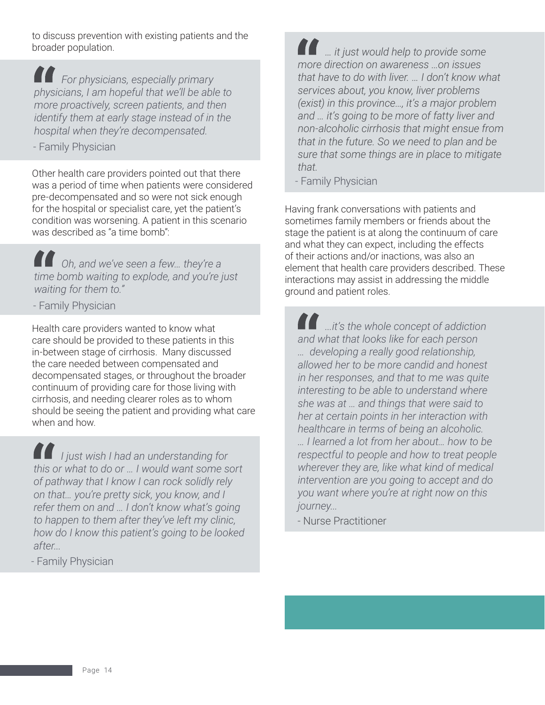to discuss prevention with existing patients and the broader population.

*For physicians, especially primary physicians, I am hopeful that we'll be able to more proactively, screen patients, and then identify them at early stage instead of in the hospital when they're decompensated.*

- Family Physician

Other health care providers pointed out that there was a period of time when patients were considered pre-decompensated and so were not sick enough for the hospital or specialist care, yet the patient's condition was worsening. A patient in this scenario was described as "a time bomb":

*Oh, and we've seen a few… they're a time bomb waiting to explode, and you're just waiting for them to."*

- Family Physician

Health care providers wanted to know what care should be provided to these patients in this in-between stage of cirrhosis. Many discussed the care needed between compensated and decompensated stages, or throughout the broader continuum of providing care for those living with cirrhosis, and needing clearer roles as to whom should be seeing the patient and providing what care when and how.

*I just wish I had an understanding for this or what to do or … I would want some sort of pathway that I know I can rock solidly rely on that… you're pretty sick, you know, and I refer them on and … I don't know what's going to happen to them after they've left my clinic, how do I know this patient's going to be looked after...*

- Family Physician

*… it just would help to provide some more direction on awareness …on issues that have to do with liver. … I don't know what services about, you know, liver problems (exist) in this province…, it's a major problem and … it's going to be more of fatty liver and non-alcoholic cirrhosis that might ensue from that in the future. So we need to plan and be sure that some things are in place to mitigate that.*

- Family Physician

Having frank conversations with patients and sometimes family members or friends about the stage the patient is at along the continuum of care and what they can expect, including the effects of their actions and/or inactions, was also an element that health care providers described. These interactions may assist in addressing the middle ground and patient roles.

*...it's the whole concept of addiction and what that looks like for each person … developing a really good relationship, allowed her to be more candid and honest in her responses, and that to me was quite interesting to be able to understand where she was at … and things that were said to her at certain points in her interaction with healthcare in terms of being an alcoholic. … I learned a lot from her about… how to be respectful to people and how to treat people wherever they are, like what kind of medical intervention are you going to accept and do you want where you're at right now on this journey...*

- Nurse Practitioner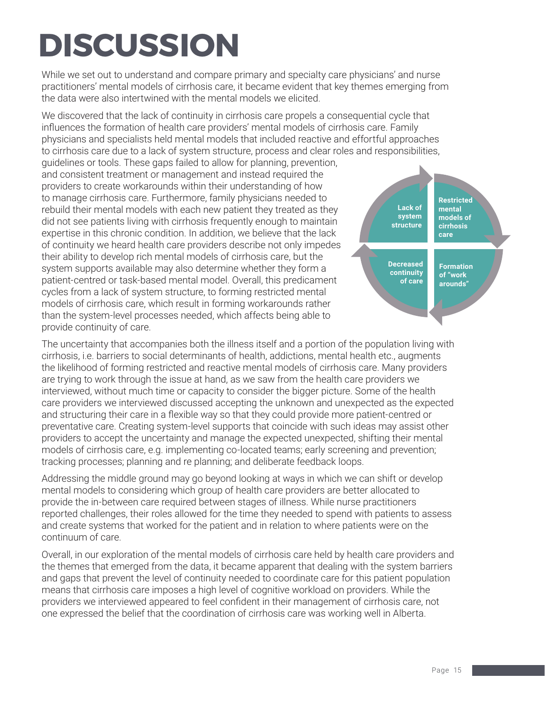# **DISCUSSION**

While we set out to understand and compare primary and specialty care physicians' and nurse practitioners' mental models of cirrhosis care, it became evident that key themes emerging from the data were also intertwined with the mental models we elicited.

We discovered that the lack of continuity in cirrhosis care propels a consequential cycle that influences the formation of health care providers' mental models of cirrhosis care. Family physicians and specialists held mental models that included reactive and effortful approaches to cirrhosis care due to a lack of system structure, process and clear roles and responsibilities,

guidelines or tools. These gaps failed to allow for planning, prevention, and consistent treatment or management and instead required the providers to create workarounds within their understanding of how to manage cirrhosis care. Furthermore, family physicians needed to rebuild their mental models with each new patient they treated as they did not see patients living with cirrhosis frequently enough to maintain expertise in this chronic condition. In addition, we believe that the lack of continuity we heard health care providers describe not only impedes their ability to develop rich mental models of cirrhosis care, but the system supports available may also determine whether they form a patient-centred or task-based mental model. Overall, this predicament cycles from a lack of system structure, to forming restricted mental models of cirrhosis care, which result in forming workarounds rather than the system-level processes needed, which affects being able to provide continuity of care.



The uncertainty that accompanies both the illness itself and a portion of the population living with cirrhosis, i.e. barriers to social determinants of health, addictions, mental health etc., augments the likelihood of forming restricted and reactive mental models of cirrhosis care. Many providers are trying to work through the issue at hand, as we saw from the health care providers we interviewed, without much time or capacity to consider the bigger picture. Some of the health care providers we interviewed discussed accepting the unknown and unexpected as the expected and structuring their care in a flexible way so that they could provide more patient-centred or preventative care. Creating system-level supports that coincide with such ideas may assist other providers to accept the uncertainty and manage the expected unexpected, shifting their mental models of cirrhosis care, e.g. implementing co-located teams; early screening and prevention; tracking processes; planning and re planning; and deliberate feedback loops.

Addressing the middle ground may go beyond looking at ways in which we can shift or develop mental models to considering which group of health care providers are better allocated to provide the in-between care required between stages of illness. While nurse practitioners reported challenges, their roles allowed for the time they needed to spend with patients to assess and create systems that worked for the patient and in relation to where patients were on the continuum of care.

Overall, in our exploration of the mental models of cirrhosis care held by health care providers and the themes that emerged from the data, it became apparent that dealing with the system barriers and gaps that prevent the level of continuity needed to coordinate care for this patient population means that cirrhosis care imposes a high level of cognitive workload on providers. While the providers we interviewed appeared to feel confident in their management of cirrhosis care, not one expressed the belief that the coordination of cirrhosis care was working well in Alberta.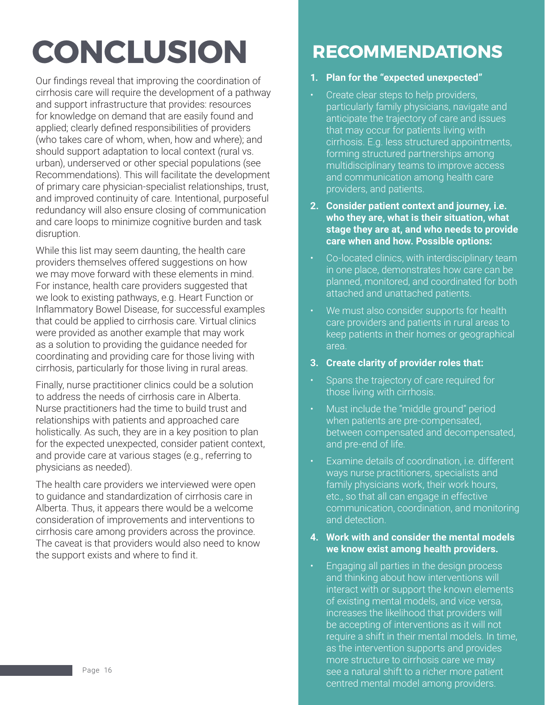# **CONCLUSION**

Our findings reveal that improving the coordination of cirrhosis care will require the development of a pathway and support infrastructure that provides: resources for knowledge on demand that are easily found and applied; clearly defined responsibilities of providers (who takes care of whom, when, how and where); and should support adaptation to local context (rural vs. urban), underserved or other special populations (see Recommendations). This will facilitate the development of primary care physician-specialist relationships, trust, and improved continuity of care. Intentional, purposeful redundancy will also ensure closing of communication and care loops to minimize cognitive burden and task disruption.

While this list may seem daunting, the health care providers themselves offered suggestions on how we may move forward with these elements in mind. For instance, health care providers suggested that we look to existing pathways, e.g. Heart Function or Inflammatory Bowel Disease, for successful examples that could be applied to cirrhosis care. Virtual clinics were provided as another example that may work as a solution to providing the guidance needed for coordinating and providing care for those living with cirrhosis, particularly for those living in rural areas.

Finally, nurse practitioner clinics could be a solution to address the needs of cirrhosis care in Alberta. Nurse practitioners had the time to build trust and relationships with patients and approached care holistically. As such, they are in a key position to plan for the expected unexpected, consider patient context, and provide care at various stages (e.g., referring to physicians as needed).

The health care providers we interviewed were open to guidance and standardization of cirrhosis care in Alberta. Thus, it appears there would be a welcome consideration of improvements and interventions to cirrhosis care among providers across the province. The caveat is that providers would also need to know the support exists and where to find it.

## **RECOMMENDATIONS**

#### **1. Plan for the "expected unexpected"**

- Create clear steps to help providers, particularly family physicians, navigate and anticipate the trajectory of care and issues that may occur for patients living with cirrhosis. E.g. less structured appointments, forming structured partnerships among multidisciplinary teams to improve access and communication among health care providers, and patients.
- **2. Consider patient context and journey, i.e. who they are, what is their situation, what stage they are at, and who needs to provide care when and how. Possible options:**
- Co-located clinics, with interdisciplinary team in one place, demonstrates how care can be planned, monitored, and coordinated for both attached and unattached patients.
- We must also consider supports for health care providers and patients in rural areas to keep patients in their homes or geographical area.
- **3. Create clarity of provider roles that:**
- Spans the trajectory of care required for those living with cirrhosis.
- Must include the "middle ground" period when patients are pre-compensated, between compensated and decompensated, and pre-end of life.
- Examine details of coordination, i.e. different ways nurse practitioners, specialists and family physicians work, their work hours, etc., so that all can engage in effective communication, coordination, and monitoring and detection.

#### **4. Work with and consider the mental models we know exist among health providers.**

Engaging all parties in the design process and thinking about how interventions will interact with or support the known elements of existing mental models, and vice versa, increases the likelihood that providers will be accepting of interventions as it will not require a shift in their mental models. In time, as the intervention supports and provides more structure to cirrhosis care we may see a natural shift to a richer more patient centred mental model among providers.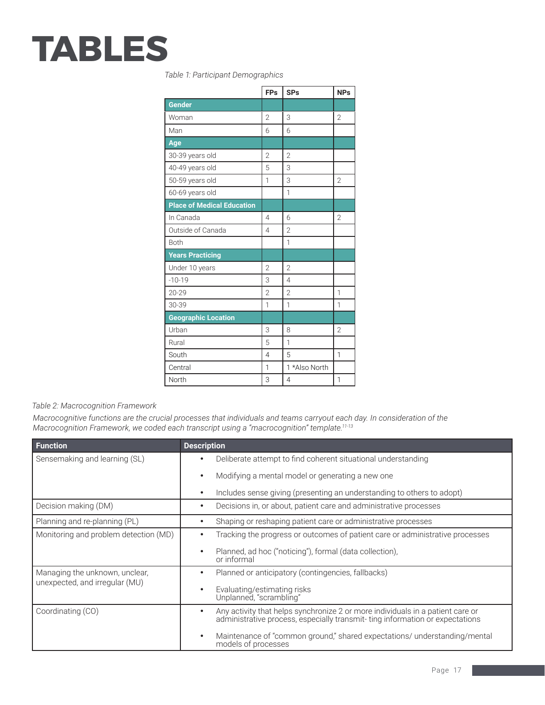# **TABLES**

*Table 1: Participant Demographics*

|                                   | <b>FPs</b>     | <b>SPs</b>     | <b>NPs</b>     |
|-----------------------------------|----------------|----------------|----------------|
| Gender                            |                |                |                |
| Woman                             | $\overline{2}$ | 3              | $\overline{2}$ |
| Man                               | 6              | 6              |                |
| Age                               |                |                |                |
| 30-39 years old                   | $\overline{2}$ | $\overline{2}$ |                |
| 40-49 years old                   | 5              | 3              |                |
| 50-59 years old                   | 1              | 3              | $\overline{2}$ |
| 60-69 years old                   |                | $\mathbf{1}$   |                |
| <b>Place of Medical Education</b> |                |                |                |
| In Canada                         | $\overline{4}$ | 6              | $\overline{2}$ |
| Outside of Canada                 | $\overline{4}$ | $\overline{2}$ |                |
| Both                              |                | $\overline{1}$ |                |
| <b>Years Practicing</b>           |                |                |                |
| Under 10 years                    | $\mathfrak{D}$ | $\mathfrak{D}$ |                |
| $-10-19$                          | 3              | $\overline{4}$ |                |
| $20 - 29$                         | $\overline{2}$ | $\overline{2}$ | 1              |
| 30-39                             | 1              | 1              | 1              |
| <b>Geographic Location</b>        |                |                |                |
| Urban                             | 3              | 8              | $\overline{2}$ |
| Rural                             | 5              | $\overline{1}$ |                |
| South                             | $\overline{4}$ | 5              | $\mathbf{1}$   |
| Central                           | 1              | 1 *Also North  |                |
| North                             | 3              | $\overline{4}$ | 1              |

*Table 2: Macrocognition Framework*

*Macrocognitive functions are the crucial processes that individuals and teams carryout each day. In consideration of the Macrocognition Framework, we coded each transcript using a "macrocognition" template.11-13*

| <b>Function</b>                       | <b>Description</b>                                                                                                                                                          |
|---------------------------------------|-----------------------------------------------------------------------------------------------------------------------------------------------------------------------------|
| Sensemaking and learning (SL)         | Deliberate attempt to find coherent situational understanding<br>$\bullet$                                                                                                  |
|                                       | Modifying a mental model or generating a new one<br>$\bullet$                                                                                                               |
|                                       | Includes sense giving (presenting an understanding to others to adopt)<br>٠                                                                                                 |
| Decision making (DM)                  | Decisions in, or about, patient care and administrative processes<br>$\bullet$                                                                                              |
| Planning and re-planning (PL)         | Shaping or reshaping patient care or administrative processes<br>٠                                                                                                          |
| Monitoring and problem detection (MD) | Tracking the progress or outcomes of patient care or administrative processes<br>٠                                                                                          |
|                                       | Planned, ad hoc ("noticing"), formal (data collection),<br>$\bullet$<br>or informal                                                                                         |
| Managing the unknown, unclear,        | Planned or anticipatory (contingencies, fallbacks)<br>$\bullet$                                                                                                             |
| unexpected, and irregular (MU)        | Evaluating/estimating risks<br>$\bullet$<br>Unplanned, "scrambling"                                                                                                         |
| Coordinating (CO)                     | Any activity that helps synchronize 2 or more individuals in a patient care or<br>$\bullet$<br>administrative process, especially transmit-ting information or expectations |
|                                       | Maintenance of "common ground," shared expectations/ understanding/mental<br>$\bullet$<br>models of processes                                                               |